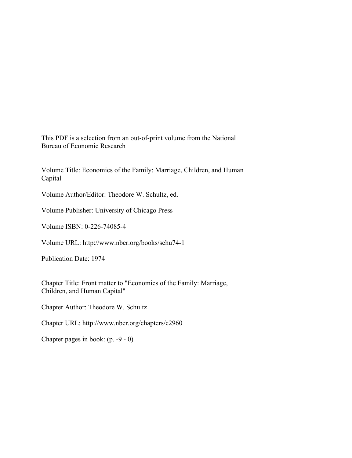This PDF is a selection from an out-of-print volume from the National Bureau of Economic Research

Volume Title: Economics of the Family: Marriage, Children, and Human Capital

Volume Author/Editor: Theodore W. Schultz, ed.

Volume Publisher: University of Chicago Press

Volume ISBN: 0-226-74085-4

Volume URL: http://www.nber.org/books/schu74-1

Publication Date: 1974

Chapter Title: Front matter to "Economics of the Family: Marriage, Children, and Human Capital"

Chapter Author: Theodore W. Schultz

Chapter URL: http://www.nber.org/chapters/c2960

Chapter pages in book: (p. -9 - 0)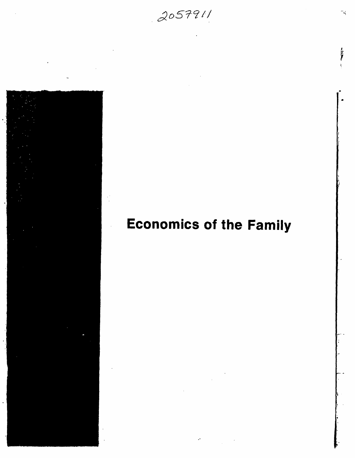# **Economics of the Family**

 $\label{eq:2.1} \frac{\partial}{\partial t} \left( \frac{\partial}{\partial x} \right) = \frac{1}{2} \left( \frac{\partial}{\partial x} \right) \frac{\partial}{\partial x} + \frac{\partial}{\partial y} \frac{\partial}{\partial y}$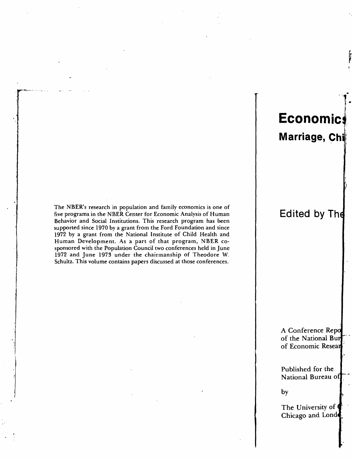The NBER's research in population and family economics is one of five programs in the NBER Center for Economic Analysis of Human Behavior and Social Institutions. This research program has been supported since 1970 by a grant from the Ford Foundation and since 1972 by a grant from the National Institute of Child Health and Human Development. As a part of that program, NBER cosponsored with the Population Council two conferences held in June 1972 and June 1973 under the chairmanship of Theodore W. Schultz. This volume contains papers discussed at those conferences.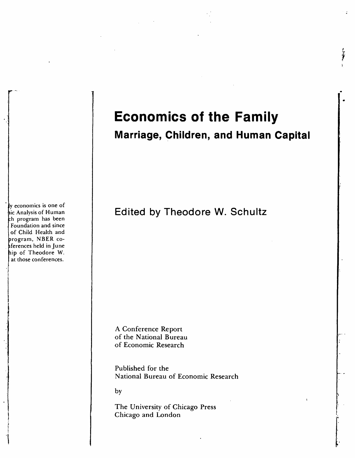## Economics of the Family Marriage, Children, and Human Capital

## Edited by Theodore W. Schultz

A Conference Report of the National Bureau of Economic Research

Published for the National Bureau of Economic Research

 $\mathbf{I}$ 

by

The University of Chicago Press Chicago and London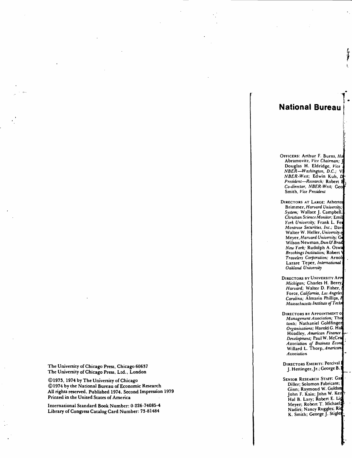The University of Chicago Press, Chicago 60637 The University of Chicago Press, Ltd., London

 $\ddot{\phantom{0}}$ 

© 1973, 1974 by The University of Chicago © 1974 by the National Bureau of Economic Research All rights reserved. Published 1974. Second Impression 1979 Printed in the United States of America

International Standard Book Number: 0-226-74085-4 Library of Congress Catalog Card Number: 73-81484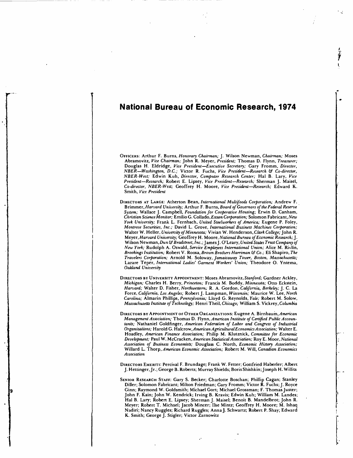### National Bureau of Economic Research, 1974

- OFFIcERs: Arthur F. Burns, Honorary Chairman; J. Wilson Newman, Chairman; Moses Abramovitz, Vice Chairman; John R. Meyer, President; Thomas D. Flynn, Treasurer; Douglas H. Eldridge, Vice President-Executive Secretary; Gary Fromm, Director, NBER—Washington, D.C.; Victor R. Fuchs, Vice President—Research & Co-director, NBER-West; Edwin Kuh, Director, Computer Research Center; Hal B. Lary, Vice President-Research; Robert E. Lipsey, Vice President-Research; Sherman J. Maisel, Co-director, NBER-West; Geoffrey H. Moore, Vice President—Research; Edward K. Smith, Vice President
- DIRECTORS AT LARGE: Atherton Bean, International Multifoods Corporation; Andrew F. Brimmer, Harvard University; Arthur F. Burns, Board of Governors of the Federal Reserve System; Wallace J. Campbell, Foundation for Cooperative Housing; Erwin D. Canham, Christian Science Monitor; Emilio G. Collado, Exxon Corporation; Solomon Fabricant, New York University; Frank L. Fernbach, United Steelworkers of America; Eugene P. Foley, Montrose Securities, Inc.; David L. Grove, International Business Machines Corporation; Walter W. Heller, University of Minnesota; Vivian W. Henderson, Clark College; John R. Meyer, Harvard University; Geoffrey H. Moore, National Bureau of Economic Research; J. Wilson Newman, Dun & Bradstreet, Inc.; James J. O'Leary, United States Trust Company of New York; Rudolph A. Oswald, Service Employees International Union; Alice M. Rivlin, Brookings Institution; Robert V. Roosa, Brown Brothers Harriman & Co.; Eli Shapiro, The Travelers Corporation; Arnold M. Soloway, Jamaicaway Tower, Boston, Massachusetts; Lazare Teper, International Ladies' Garment Workers' Union, Theodore O. Yntema, Oakland University
- DIRECTORS BY UNIVERSITY APPOINTMENT: Moses Abramovitz, Stanford; Gardner Ackley, Michigan; Charles H. Berry, Princeton; Francis M. Boddy, Minnesota; Otto Eckstein, Harvard; Walter D. Fisher, Northwestern; R. A. Gordon, California, Berkeley; J. C. La Force, California, Los Angeles; Robert J. Lampman, Wisconsin; Maurice W. Lee, North Carolina; Almarin Phillips, Pennsylvania; Lloyd G. Reynolds, Yale; Robert M. Solow, Massachusetts Institute of Technology; Henri Theil, Chicago; William S. Vickrey, Columbia
- DIRECTORS BY APPOINTMENT OF OTHER ORGANIZATIONS: Eugene A. Birnbaum, American Management Association; Thomas D. Flynn, American Institute of Certified Public Accountants; Nathaniel Goldfinger, American Federation of Labor and Congress of Industrial Organizations; Harold G. Halcrow, American Agricultural Economics Association; Walter E. Hoadley, American Finance Association; Philip M. Klutznick, Committee for Economic Development; Paul W. McCracken, American Statistical Association; Roy E. Moor, National Association of Business Economists; Douglass C. North, Economic History Association; Willard L. Thorp, American Economic Association; Robert M. Will, Canadian Economics Association
- DIRECTORS EMERITI: Percival F. Brundage; Frank W. Fetter; Gottfried Haberler; Albert J. Hettinger, Jr.; George B. Roberts; Murray Shields; Boris Shishkin; Joseph H. Willits
- SENIOR RESEARCH STAFF: Gary S. Becker; Charlotte Boschan; Phillip Cagan; Stanley Diller; Solomon Fabricant; Milton Friedman; Gary Fromm; Victor R. Fuchs; J. Royce Ginn; Raymond W. Goldsmith; Michael Gort; Michael Grossman; F. Thomas Juster; John F. Kain; John W. Kendrick; Irving B. Kravis; Edwin Kuh; William M. Landes; Hal B. Lary; Robert E. Lipsey; Sherman J. Maisel; Benoit B. Mandeibrot; John R. Meyer; Robert T. Michael; Jacob Mincer; Ilse Mintz; Geoffrey H. Moore; M. Ishaq Nadiri; Nancy Ruggles; Richard Ruggles; AnnaJ. Schwartz; Robert P. Shay; Edward K. Smith; George J. Stigler; Victor Zarnowitz

J.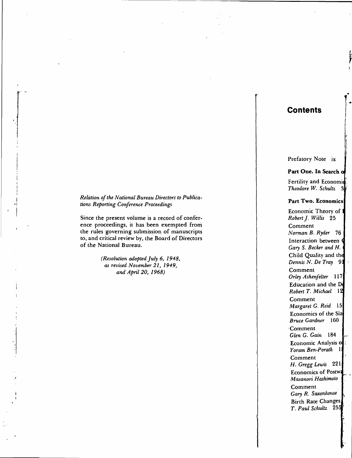Relation of the National Bureau Directors to Publications Reporting Conference Proceedings

Since the present volume is a record of conference proceedings, it has been exempted from the rules governing submission of manuscripts to, and critical review by, the Board of Directors of the National Bureau.

> (Resolution adopted July 6, 1948, as revised November 21, 1949, and April 20, 1968)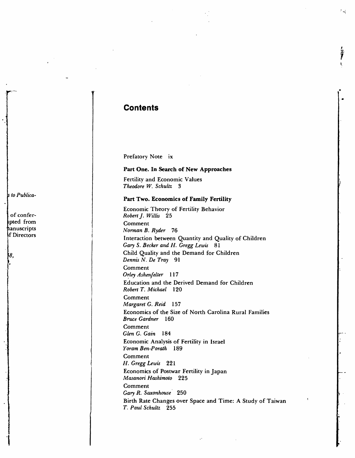## **Contents**

Prefatory Note ix

#### Part One. In Search of New Approaches

Fertility and Economic Values Theodore W. Schultz 3

#### Part Two. Economics of Family Fertility

Economic Theory of Fertility Behavior Robert J. Willis 25 Comment Norman B. Ryder 76 Interaction between Quantity and Quality of Children Gary S. Becker and H. Gregg Lewis 81 Child Quality and the Demand for Children Dennis N. De Tray 91 Comment Orley Ashenfelter 117 Education and the Derived Demand for Children Robert T. Michael 120 Comment Margaret C. Reid 157 Economics of the Size of North Carolina Rural Families Bruce Gardner 160 Comment Glen G. Gain 184 Economic Analysis of Fertility in Israel Yoram Ben-Porath 189 Comment H. Gregg Lewis 221 Economics of Postwar Fertility in Japan Masanori Hashimoto 225 Comment Gary R. Saxonhowse 250 Birth Rate Changes over Space and Time: A Study of Taiwan T. Paul Schultz 255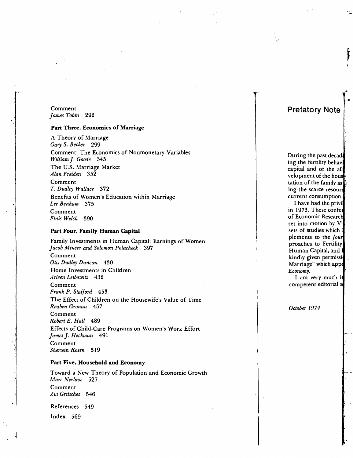Comment James Tobin 292

#### Part Three. Economics of Marriage

A Theory of Marriage Gary S. Becker 299 Comment: The Economics of Nonmonetary Variables William J. Goode 345 The U.S. Marriage Market Alan Freiden 352 Comment T. Dudley Wallace 372 Benefits of Women's Education within Marriage Lee Benham 375 Comment Finis Welch 390

#### Part Four. Family Human Capital

Family Investments in Human Capital: Earnings of Women Jacob Mincer and Solomon Polacheck 397 Comment Otis Dudley Duncan 430 Home Investments in Children Arleen Leibowitz 432 Comment Frank P. Stafford 453 The Effect of Children on the Housewife's Value of Time Reuben Gronau 457 Comment Arteen Leibountz<br>
Frank P. Stafford 453<br>
The Effect of Children on the Housew<br>
Reuben Gronau 457<br>
Comment<br>
Robert E. Hall 489<br>
Effects of Child-Care Programs on Wo<br>
Iames L. Heckman 491 Effects of Child-Care Programs on Women's Work Effort James J. Heckman 491 Comment Sherwin Rosen 519

#### Part Five. Household and Economy

Toward a New Theory of Population and Economic Growth Marc Nerlove 527 Comment Zvi Griliches 546 References 549 Index 569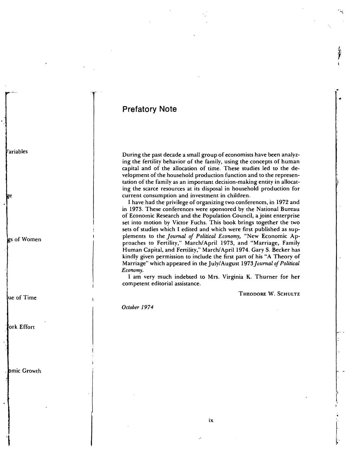### Prefatory Note

During the past decade a small group of economists have been analyzing the fertility behavior of the family, using the concepts of human capital and of the allocation of time. These studies led to the development of the household production function and to the representation of the family as an important decision-making entity in allocating the scarce resources at its disposal in household production for current consumption and investment in children.

I have had the privilege of organizing two conferences, in 1972 and in 1973. These conferences were sponsored by the National Bureau of Economic Research and the Population Council, a joint enterprise set into motion by Victor Fuchs. This book brings together the two sets of studies which I edited and which were first published as supplements to the Journal of Political Economy, "New Economic Approaches to Fertility," March/April 1973, and "Marriage, Family Human Capital, and Fertility," March/April 1974. Gary S. Becker has kindly given permission to include the first part of his "A Theory of Marriage" which appeared in the July/August 1973 Journal of Political Economy.

I am very much indebted to Mrs. Virginia K. Thurner for her competent editorial assistance.

THEODORE W. SCHULTZ

October 1974